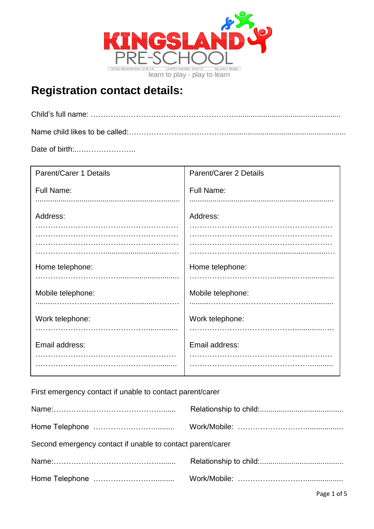

## **Registration contact details:**

Date of birth:..…………………..

| <b>Parent/Carer 1 Details</b> | <b>Parent/Carer 2 Details</b> |
|-------------------------------|-------------------------------|
| <b>Full Name:</b>             | <b>Full Name:</b>             |
|                               |                               |
| Address:                      | Address:                      |
|                               |                               |
|                               |                               |
| Home telephone:               | Home telephone:               |
|                               |                               |
| Mobile telephone:             | Mobile telephone:             |
|                               |                               |
| Work telephone:               | Work telephone:               |
|                               |                               |
| Email address:                | Email address:                |
|                               |                               |

First emergency contact if unable to contact parent/carer

| Second emergency contact if unable to contact parent/carer |  |
|------------------------------------------------------------|--|
|                                                            |  |
|                                                            |  |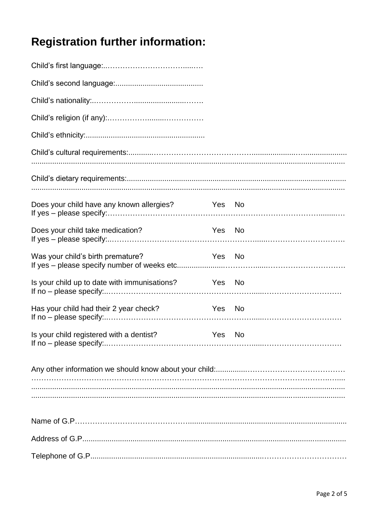# **Registration further information:**

| Does your child have any known allergies? Yes No    |        |  |
|-----------------------------------------------------|--------|--|
| Does your child take medication?                    | Yes No |  |
| Was your child's birth premature?                   | Yes No |  |
| Is your child up to date with immunisations? Yes No |        |  |
| Has your child had their 2 year check? Yes No       |        |  |
| Is your child registered with a dentist?            | Yes No |  |
|                                                     |        |  |
|                                                     |        |  |
|                                                     |        |  |
|                                                     |        |  |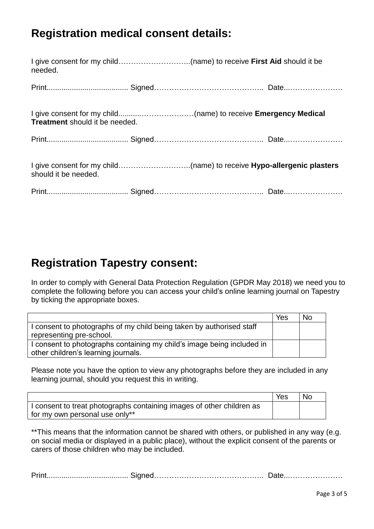### **Registration medical consent details:**

| needed.                               |  |  |
|---------------------------------------|--|--|
|                                       |  |  |
| <b>Treatment</b> should it be needed. |  |  |
|                                       |  |  |
| should it be needed.                  |  |  |
|                                       |  |  |

#### **Registration Tapestry consent:**

In order to comply with General Data Protection Regulation (GPDR May 2018) we need you to complete the following before you can access your child's online learning journal on Tapestry by ticking the appropriate boxes.

|                                                                        | Yes | No |
|------------------------------------------------------------------------|-----|----|
| I consent to photographs of my child being taken by authorised staff   |     |    |
| representing pre-school.                                               |     |    |
| I consent to photographs containing my child's image being included in |     |    |
| other children's learning journals.                                    |     |    |

Please note you have the option to view any photographs before they are included in any learning journal, should you request this in writing.

|                                                                       | Yes | <b>No</b> |
|-----------------------------------------------------------------------|-----|-----------|
| I consent to treat photographs containing images of other children as |     |           |
| for my own personal use only**                                        |     |           |

\*\*This means that the information cannot be shared with others, or published in any way (e.g. on social media or displayed in a public place), without the explicit consent of the parents or carers of those children who may be included.

| . Irin |  |  |
|--------|--|--|
|--------|--|--|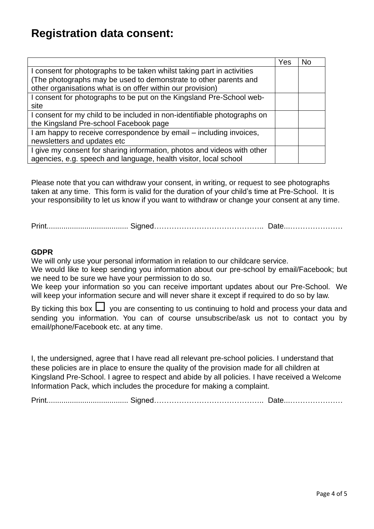#### **Registration data consent:**

|                                                                          | Yes | No |
|--------------------------------------------------------------------------|-----|----|
| I consent for photographs to be taken whilst taking part in activities   |     |    |
| (The photographs may be used to demonstrate to other parents and         |     |    |
| other organisations what is on offer within our provision)               |     |    |
| I consent for photographs to be put on the Kingsland Pre-School web-     |     |    |
| site                                                                     |     |    |
| I consent for my child to be included in non-identifiable photographs on |     |    |
| the Kingsland Pre-school Facebook page                                   |     |    |
| I am happy to receive correspondence by email – including invoices,      |     |    |
| newsletters and updates etc                                              |     |    |
| I give my consent for sharing information, photos and videos with other  |     |    |
| agencies, e.g. speech and language, health visitor, local school         |     |    |

Please note that you can withdraw your consent, in writing, or request to see photographs taken at any time. This form is valid for the duration of your child's time at Pre-School. It is your responsibility to let us know if you want to withdraw or change your consent at any time.

Print....................................... Signed…………………………………….. Date...…………………

#### **GDPR**

We will only use your personal information in relation to our childcare service.

We would like to keep sending you information about our pre-school by email/Facebook; but we need to be sure we have your permission to do so.

We keep your information so you can receive important updates about our Pre-School. We will keep your information secure and will never share it except if required to do so by law.

By ticking this box  $\Box$  you are consenting to us continuing to hold and process your data and sending you information. You can of course unsubscribe/ask us not to contact you by email/phone/Facebook etc. at any time.

I, the undersigned, agree that I have read all relevant pre-school policies. I understand that these policies are in place to ensure the quality of the provision made for all children at Kingsland Pre-School. I agree to respect and abide by all policies. I have received a Welcome Information Pack, which includes the procedure for making a complaint.

Print....................................... Signed…………………………………….. Date...…………………